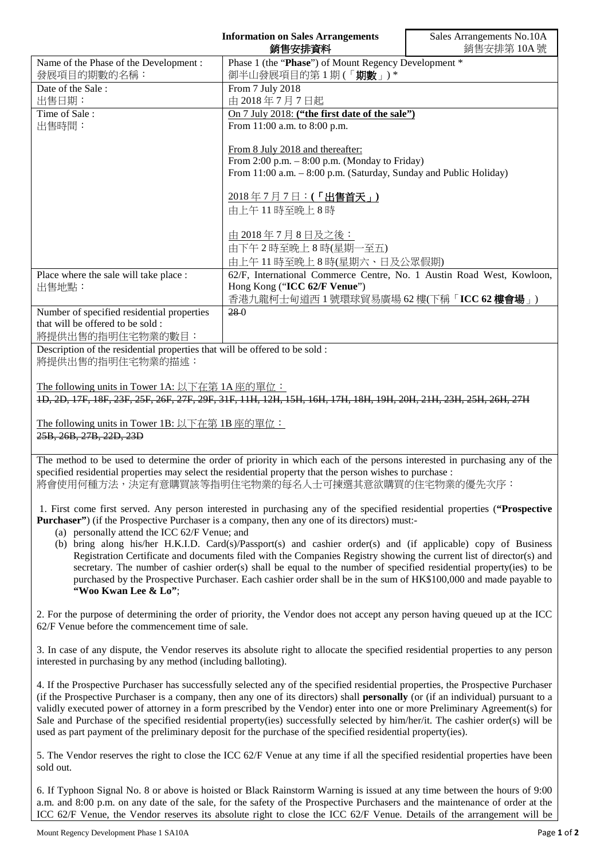|                                                                                                 | <b>Information on Sales Arrangements</b><br>銷售安排資料                                                                                                                                                                                                                                                                                                                                                                                                                                 | Sales Arrangements No.10A<br>銷售安排第10A號 |
|-------------------------------------------------------------------------------------------------|------------------------------------------------------------------------------------------------------------------------------------------------------------------------------------------------------------------------------------------------------------------------------------------------------------------------------------------------------------------------------------------------------------------------------------------------------------------------------------|----------------------------------------|
| Name of the Phase of the Development:<br>發展項目的期數的名稱:                                            | Phase 1 (the "Phase") of Mount Regency Development *<br>御半山發展項目的第1期(「期數」)*                                                                                                                                                                                                                                                                                                                                                                                                         |                                        |
| Date of the Sale:                                                                               | From 7 July 2018                                                                                                                                                                                                                                                                                                                                                                                                                                                                   |                                        |
| 出售日期:                                                                                           | 由 2018年7月7日起                                                                                                                                                                                                                                                                                                                                                                                                                                                                       |                                        |
| Time of Sale:                                                                                   | On 7 July 2018: ("the first date of the sale")<br>From 11:00 a.m. to 8:00 p.m.<br>From 8 July 2018 and thereafter:<br>From 2:00 p.m. $-$ 8:00 p.m. (Monday to Friday)<br>From 11:00 a.m. - 8:00 p.m. (Saturday, Sunday and Public Holiday)<br>2018年7月7日:(「出售首天」)                                                                                                                                                                                                                   |                                        |
| 出售時間:                                                                                           |                                                                                                                                                                                                                                                                                                                                                                                                                                                                                    |                                        |
|                                                                                                 |                                                                                                                                                                                                                                                                                                                                                                                                                                                                                    |                                        |
|                                                                                                 |                                                                                                                                                                                                                                                                                                                                                                                                                                                                                    |                                        |
|                                                                                                 |                                                                                                                                                                                                                                                                                                                                                                                                                                                                                    |                                        |
|                                                                                                 | 由上午11時至晚上8時                                                                                                                                                                                                                                                                                                                                                                                                                                                                        |                                        |
|                                                                                                 | 由 2018年7月8日及之後:                                                                                                                                                                                                                                                                                                                                                                                                                                                                    |                                        |
|                                                                                                 | 由下午2時至晚上8時(星期一至五)                                                                                                                                                                                                                                                                                                                                                                                                                                                                  |                                        |
| Place where the sale will take place :                                                          | 由上午11時至晚上8時(星期六、日及公眾假期)<br>62/F, International Commerce Centre, No. 1 Austin Road West, Kowloon,                                                                                                                                                                                                                                                                                                                                                                                   |                                        |
| 出售地點:                                                                                           | Hong Kong ("ICC 62/F Venue")                                                                                                                                                                                                                                                                                                                                                                                                                                                       |                                        |
|                                                                                                 | 香港九龍柯士甸道西1號環球貿易廣場 62樓(下稱「ICC 62樓會場」)                                                                                                                                                                                                                                                                                                                                                                                                                                               |                                        |
| Number of specified residential properties<br>that will be offered to be sold :                 | $28-0$                                                                                                                                                                                                                                                                                                                                                                                                                                                                             |                                        |
| 將提供出售的指明住宅物業的數目:                                                                                |                                                                                                                                                                                                                                                                                                                                                                                                                                                                                    |                                        |
|                                                                                                 |                                                                                                                                                                                                                                                                                                                                                                                                                                                                                    |                                        |
| Description of the residential properties that will be offered to be sold :<br>將提供出售的指明住宅物業的描述: |                                                                                                                                                                                                                                                                                                                                                                                                                                                                                    |                                        |
|                                                                                                 |                                                                                                                                                                                                                                                                                                                                                                                                                                                                                    |                                        |
| The following units in Tower 1A: 以下在第 1A 座的單位:                                                  | 1D, 2D, 17F, 18F, 23F, 25F, 26F, 27F, 29F, 31F, 11H, 12H, 15H, 16H, 17H, 18H, 19H, 20H, 21H, 23H, 25H, 26H, 27H                                                                                                                                                                                                                                                                                                                                                                    |                                        |
|                                                                                                 |                                                                                                                                                                                                                                                                                                                                                                                                                                                                                    |                                        |
| The following units in Tower 1B: 以下在第 1B 座的單位:<br>25B, 26B, 27B, 22D, 23D                       |                                                                                                                                                                                                                                                                                                                                                                                                                                                                                    |                                        |
|                                                                                                 | The method to be used to determine the order of priority in which each of the persons interested in purchasing any of the<br>specified residential properties may select the residential property that the person wishes to purchase :<br>將會使用何種方法,決定有意購買該等指明住宅物業的每名人士可揀選其意欲購買的住宅物業的優先次序:                                                                                                                                                                                          |                                        |
|                                                                                                 | 1. First come first served. Any person interested in purchasing any of the specified residential properties ("Prospective<br><b>Purchaser</b> ") (if the Prospective Purchaser is a company, then any one of its directors) must:-                                                                                                                                                                                                                                                 |                                        |
| (a) personally attend the ICC 62/F Venue; and<br>"Woo Kwan Lee & Lo";                           | (b) bring along his/her H.K.I.D. Card(s)/Passport(s) and cashier order(s) and (if applicable) copy of Business<br>Registration Certificate and documents filed with the Companies Registry showing the current list of director(s) and<br>secretary. The number of cashier order(s) shall be equal to the number of specified residential property(ies) to be<br>purchased by the Prospective Purchaser. Each cashier order shall be in the sum of HK\$100,000 and made payable to |                                        |
| 62/F Venue before the commencement time of sale.                                                | 2. For the purpose of determining the order of priority, the Vendor does not accept any person having queued up at the ICC                                                                                                                                                                                                                                                                                                                                                         |                                        |

4. If the Prospective Purchaser has successfully selected any of the specified residential properties, the Prospective Purchaser (if the Prospective Purchaser is a company, then any one of its directors) shall **personally** (or (if an individual) pursuant to a validly executed power of attorney in a form prescribed by the Vendor) enter into one or more Preliminary Agreement(s) for Sale and Purchase of the specified residential property(ies) successfully selected by him/her/it. The cashier order(s) will be used as part payment of the preliminary deposit for the purchase of the specified residential property(ies).

5. The Vendor reserves the right to close the ICC 62/F Venue at any time if all the specified residential properties have been sold out.

6. If Typhoon Signal No. 8 or above is hoisted or Black Rainstorm Warning is issued at any time between the hours of 9:00 a.m. and 8:00 p.m. on any date of the sale, for the safety of the Prospective Purchasers and the maintenance of order at the ICC 62/F Venue, the Vendor reserves its absolute right to close the ICC 62/F Venue. Details of the arrangement will be